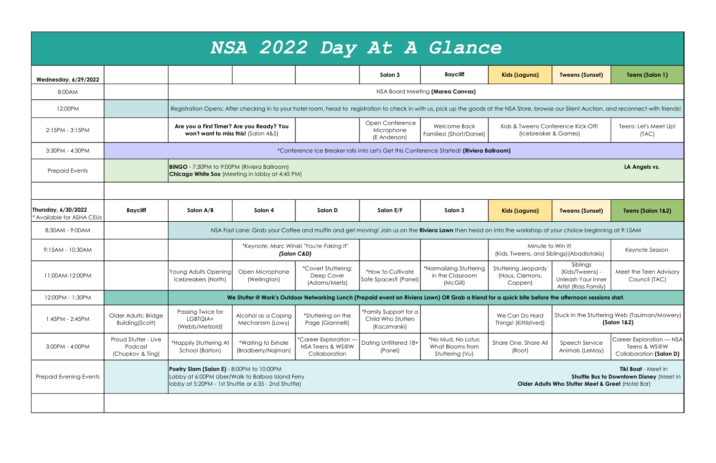|                                                |                                                                                                                                                                                                                                                       |                                                                                                                                                                                                |                                                                                                                                                          |                                                            |                                                             | NSA 2022 Day At A Glance                                  |                                                                 |                                                                           |                                                                     |  |  |
|------------------------------------------------|-------------------------------------------------------------------------------------------------------------------------------------------------------------------------------------------------------------------------------------------------------|------------------------------------------------------------------------------------------------------------------------------------------------------------------------------------------------|----------------------------------------------------------------------------------------------------------------------------------------------------------|------------------------------------------------------------|-------------------------------------------------------------|-----------------------------------------------------------|-----------------------------------------------------------------|---------------------------------------------------------------------------|---------------------------------------------------------------------|--|--|
| <b>Wednesday, 6/29/2022</b>                    |                                                                                                                                                                                                                                                       |                                                                                                                                                                                                |                                                                                                                                                          |                                                            | Salon 3                                                     | <b>Baycliff</b>                                           | Kids (Laguna)                                                   | <b>Tweens (Sunset)</b>                                                    | Teens (Salon 1)                                                     |  |  |
| 8:00AM                                         |                                                                                                                                                                                                                                                       | NSA Board Meeting (Marea Canvas)                                                                                                                                                               |                                                                                                                                                          |                                                            |                                                             |                                                           |                                                                 |                                                                           |                                                                     |  |  |
| 12:00PM                                        |                                                                                                                                                                                                                                                       | Registration Opens: After checking in to your hotel room, head to registration to check in with us, pick up the goods at the NSA Store, browse our Silent Auction, and reconnect with friends! |                                                                                                                                                          |                                                            |                                                             |                                                           |                                                                 |                                                                           |                                                                     |  |  |
| 2:15PM - 3:15PM                                |                                                                                                                                                                                                                                                       |                                                                                                                                                                                                | Are you a First Timer? Are you Ready? You<br>won't want to miss this! (Salon 4&5)                                                                        |                                                            | Open Conference<br>Microphone<br>(E Anderson)               | <b>Welcome Back</b><br>Families! (Short/Daniel)           | Kids & Tweens Conference Kick-Off!<br>(Icebreaker & Games)      |                                                                           | Teens: Let's Meet Up!<br>(TAC)                                      |  |  |
| 3:30PM - 4:30PM                                |                                                                                                                                                                                                                                                       | *Conference Ice Breaker rolls into Let's Get this Conference Started! (Riviera Ballroom)                                                                                                       |                                                                                                                                                          |                                                            |                                                             |                                                           |                                                                 |                                                                           |                                                                     |  |  |
| <b>Prepaid Events</b>                          | <b>BINGO</b> - 7:30PM to 9:00PM (Riviera Ballroom)<br><b>Chicago White Sox</b> (Meeting in lobby at 4:45 PM)                                                                                                                                          |                                                                                                                                                                                                |                                                                                                                                                          |                                                            |                                                             |                                                           |                                                                 |                                                                           | LA Angels vs.                                                       |  |  |
|                                                |                                                                                                                                                                                                                                                       |                                                                                                                                                                                                |                                                                                                                                                          |                                                            |                                                             |                                                           |                                                                 |                                                                           |                                                                     |  |  |
| Thursday, 6/30/2022<br>Available for ASHA CEUs | <b>Baycliff</b>                                                                                                                                                                                                                                       | Salon A/B                                                                                                                                                                                      | Salon 4                                                                                                                                                  | Salon D                                                    | Salon E/F                                                   | Salon 3                                                   | Kids (Laguna)                                                   | <b>Tweens (Sunset)</b>                                                    | Teens (Salon 1&2)                                                   |  |  |
| 8:30AM - 9:00AM                                |                                                                                                                                                                                                                                                       |                                                                                                                                                                                                | NSA Fast Lane: Grab your Coffee and muffin and get moving! Join us on the Riviera Lawn then head on into the workshop of your choice beginning at 9:15AM |                                                            |                                                             |                                                           |                                                                 |                                                                           |                                                                     |  |  |
| 9:15AM - 10:30AM                               |                                                                                                                                                                                                                                                       |                                                                                                                                                                                                |                                                                                                                                                          | *Keynote: Marc Winski "You're Faking It"<br>(Salon C&D)    |                                                             |                                                           | Minute to Win it!<br>(Kids, Tweens, and Siblings) (Abadiotakis) |                                                                           | Keynote Session                                                     |  |  |
| 11:00AM-12:00PM                                |                                                                                                                                                                                                                                                       | Young Adults Opening<br>Icebreakers (North)                                                                                                                                                    | Open Microphone<br>(Wellington)                                                                                                                          | *Covert Stuttering:<br>Deep Cover<br>(Adams/Mertz)         | *How to Cultivate<br>Safe Spaces? (Panel)                   | *Normalizing Stuttering<br>in the Classroom<br>(McGill)   | Stuttering Jeopardy<br>(Haus, Clemons,<br>Coppen)               | Siblings<br>(Kids/Tweens) -<br>Unleash Your Inner<br>Artist (Ross Family) | Meet the Teen Advisory<br>Council (TAC)                             |  |  |
| 12:00PM - 1:30PM                               |                                                                                                                                                                                                                                                       | We Stutter @ Work's Outdoor Networking Lunch (Prepaid event on Riviera Lawn) OR Grab a friend for a quick bite before the afternoon sessions start.                                            |                                                                                                                                                          |                                                            |                                                             |                                                           |                                                                 |                                                                           |                                                                     |  |  |
| 1:45PM - 2:45PM                                | Older Adults: Bridge<br>Building(Scott)                                                                                                                                                                                                               | Passing Twice for<br>LGBTQIA+<br>(Webb/Metzold)                                                                                                                                                | Alcohol as a Coping<br>Mechanism (Lowy)                                                                                                                  | *Stuttering on the<br>Page (Giannelli)                     | *Family Support for a<br>Child Who Stutters<br>(Kaczmarski) |                                                           | We Can Do Hard<br>Things! (Kittilstved)                         | Stuck In the Stuttering Web (Taulman/Mowery)<br>(Salon 1&2)               |                                                                     |  |  |
| 3:00PM - 4:00PM                                | Proud Stutter - Live<br>Podcast<br>(Chupkov & Ting)                                                                                                                                                                                                   | *Happily Stuttering At<br>School (Barton)                                                                                                                                                      | *Waiting to Exhale<br>(Bradberry/Najman)                                                                                                                 | *Career Exploration -<br>NSA Teens & WS@W<br>Collaboration | Dating Unfiltered 18+<br>(Panel)                            | *No Mud, No Lotus:<br>What Blooms from<br>Stuttering (Vu) | Share One, Share All<br>(Root)                                  | Speech Service<br>Animals (LeMay)                                         | Career Exploration - NSA<br>Teens & WS@W<br>Collaboration (Salon D) |  |  |
| Prepaid Evening Events                         | Poetry Slam (Salon E) - 8:00PM to 10:00PM<br>Lobby at 6:00PM Uber/Walk to Balboa Island Ferry<br>Shuttle Bus to Downtown Disney (Meet in<br>lobby at 5:20PM - 1st Shuttle or 6:35 - 2nd Shuttle)<br>Older Adults Who Stutter Meet & Greet (Hotel Bar) |                                                                                                                                                                                                |                                                                                                                                                          |                                                            |                                                             |                                                           |                                                                 |                                                                           | Tiki Boat - Meet in                                                 |  |  |
|                                                |                                                                                                                                                                                                                                                       |                                                                                                                                                                                                |                                                                                                                                                          |                                                            |                                                             |                                                           |                                                                 |                                                                           |                                                                     |  |  |